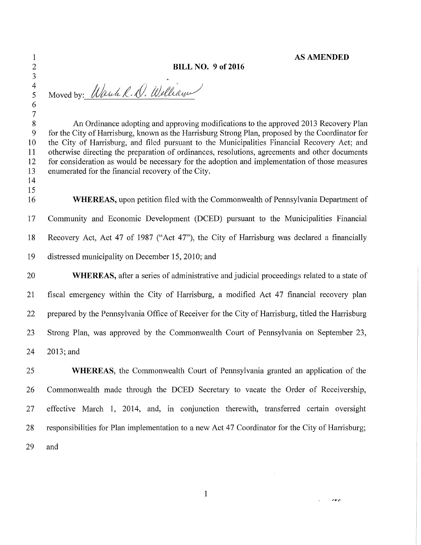## 1 **AS AMENDED**

بربيون

## 2 **BILL NO. 9 of 2016**

Moved by: Warch R. D. Welliam

## 3  $\frac{4}{5}$

6

14

 $\begin{array}{c} 7 \\ 8 \end{array}$ An Ordinance adopting and approving modifications to the approved 2013 Recovery Plan 9 for the City of Harrisburg, known as the Harrisburg Strong Plan, proposed by the Coordinator for 10 the City of Harrisburg, and filed pursuant to the Municipalities Financial Recovery Act; and 11 otherwise directing the preparation of ordinances, resolutions, agreements and other documents 12 for consideration as would be necessary for the adoption and implementation of those measures 13 enumerated for the financial recovery of the City.

15 16 **WHEREAS,** upon petition filed with the Commonwealth of Pennsylvania Department of 17 Community and Economic Development (DCED) pursuant to the Municipalities Financial 18 Recovery Act, Act 47 of 1987 ("Act 47"), the City of Harrisburg was declared a financially 19 distressed municipality on December 15, 2010; and

20 **WHEREAS,** after a series of administrative and judicial proceedings related to a state of 21 fiscal emergency within the City of Harrisburg, a modified Act 47 financial recovery plan 22 prepared by the Pennsylvania Office of Receiver for the City of Harrisburg, titled the Harrisburg 23 Strong Plan, was approved by the Commonwealth Court of Pennsylvania on September 23, 24 2013; and

25 **WHEREAS,** the Commonwealth Court of Pennsylvania granted an application of the 26 Commonwealth made through the DCED Secretary to vacate the Order of Receivership, 27 effective March 1, 2014, and, in conjunction therewith, transferred certain oversight 28 responsibilities for Plan implementation to a new Act 47 Coordinator for the City of Harrisburg; 29 and

1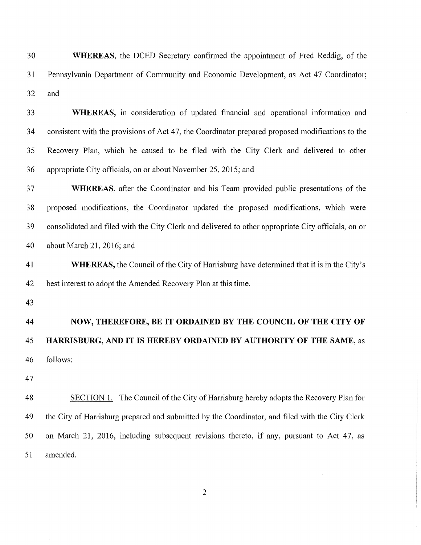| 30 | <b>WHEREAS</b> , the DCED Secretary confirmed the appointment of Fred Reddig, of the                |
|----|-----------------------------------------------------------------------------------------------------|
| 31 | Pennsylvania Department of Community and Economic Development, as Act 47 Coordinator;               |
| 32 | and                                                                                                 |
| 33 | WHEREAS, in consideration of updated financial and operational information and                      |
| 34 | consistent with the provisions of Act 47, the Coordinator prepared proposed modifications to the    |
| 35 | Recovery Plan, which he caused to be filed with the City Clerk and delivered to other               |
| 36 | appropriate City officials, on or about November 25, 2015; and                                      |
| 37 | <b>WHEREAS</b> , after the Coordinator and his Team provided public presentations of the            |
| 38 | proposed modifications, the Coordinator updated the proposed modifications, which were              |
| 39 | consolidated and filed with the City Clerk and delivered to other appropriate City officials, on or |
| 40 | about March 21, 2016; and                                                                           |
| 41 | <b>WHEREAS,</b> the Council of the City of Harrisburg have determined that it is in the City's      |
| 42 | best interest to adopt the Amended Recovery Plan at this time.                                      |
| 43 |                                                                                                     |
| 44 | NOW, THEREFORE, BE IT ORDAINED BY THE COUNCIL OF THE CITY OF                                        |
| 45 | HARRISBURG, AND IT IS HEREBY ORDAINED BY AUTHORITY OF THE SAME, as                                  |
| 46 | follows:                                                                                            |
| 47 |                                                                                                     |
| 48 | SECTION 1. The Council of the City of Harrisburg hereby adopts the Recovery Plan for                |
| 49 | the City of Harrisburg prepared and submitted by the Coordinator, and filed with the City Clerk     |
| 50 | on March 21, 2016, including subsequent revisions thereto, if any, pursuant to Act 47, as           |
| 51 | amended.                                                                                            |
|    |                                                                                                     |

2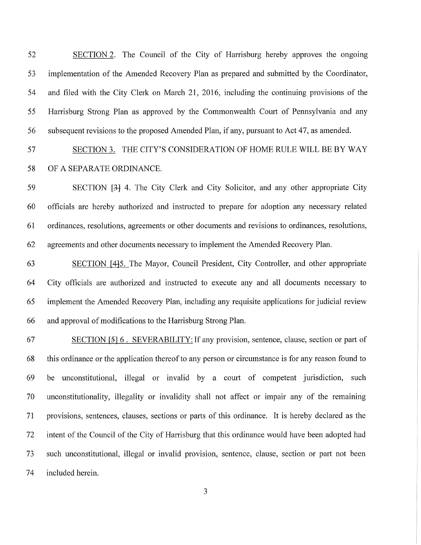52 53 54 55 56 SECTION 2. The Council of the City of Harrisburg hereby approves the ongoing implementation of the Amended Recovery Plan as prepared and submitted by the Coordinator, and filed with the City Clerk on March 21, 2016, including the continuing provisions of the Harrisburg Strong Plan as approved by the Commonwealth Court of Pennsylvania and any subsequent revisions to the proposed Amended Plan, if any, pursuant to Act 47, as amended.

57 58 SECTION 3. THE CITY'S CONSIDERATION OF HOME RULE WILL BE BY WAY OF A SEPARATE ORDINANCE.

59 60 61 62 SECTION [34 4. The City Clerk and City Solicitor, and any other appropriate City officials are hereby authorized and instructed to prepare for adoption any necessary related ordinances, resolutions, agreements or other documents and revisions to ordinances, resolutions, agreements and other documents necessary to implement the Amended Recovery Plan.

63 64 65 66 SECTION [fl-5. The Mayor, Council President, City Controller, and other appropriate City officials are authorized and instructed to execute any and all documents necessary to implement the Amended Recovery Plan, including any requisite applications for judicial review and approval of modifications to the Harrisburg Strong Plan.

67 68 69 70 71 72 73 74 SECTION [5] 6. SEVERABILITY: If any provision, sentence, clause, section or part of this ordinance or the application thereof to any person or circumstance is for any reason found to be unconstitutional, illegal or invalid by a court of competent jurisdiction, such unconstitutionality, illegality or invalidity shall not affect or impair any of the remaining provisions, sentences, clauses, sections or parts of this ordinance. It is hereby declared as the intent of the Council of the City of Harrisburg that this ordinance would have been adopted had such unconstitutional, illegal or invalid provision, sentence, clause, section or part not been included herein.

3